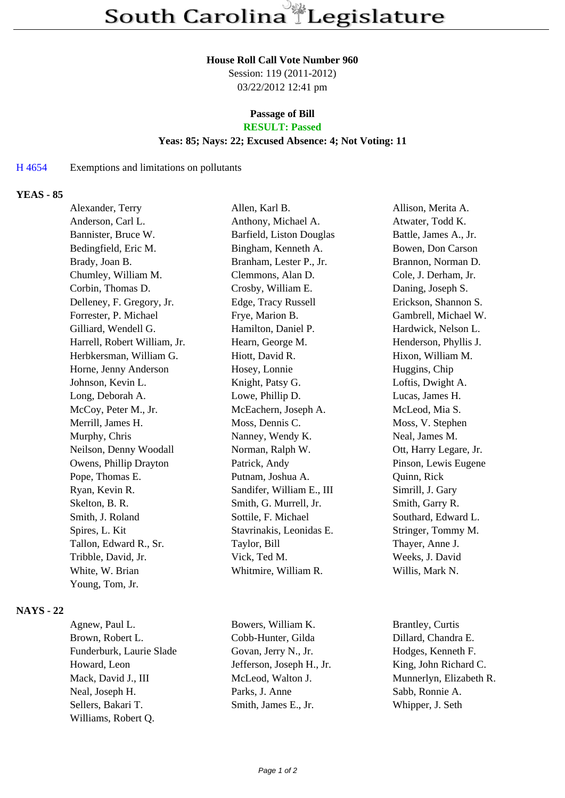#### **House Roll Call Vote Number 960**

Session: 119 (2011-2012) 03/22/2012 12:41 pm

## **Passage of Bill RESULT: Passed**

## **Yeas: 85; Nays: 22; Excused Absence: 4; Not Voting: 11**

#### H 4654 Exemptions and limitations on pollutants

## **YEAS - 85**

| Alexander, Terry             | Allen, Karl B.            | Allison, Merita A.     |
|------------------------------|---------------------------|------------------------|
| Anderson, Carl L.            | Anthony, Michael A.       | Atwater, Todd K.       |
| Bannister, Bruce W.          | Barfield, Liston Douglas  | Battle, James A., Jr.  |
| Bedingfield, Eric M.         | Bingham, Kenneth A.       | Bowen, Don Carson      |
| Brady, Joan B.               | Branham, Lester P., Jr.   | Brannon, Norman D.     |
| Chumley, William M.          | Clemmons, Alan D.         | Cole, J. Derham, Jr.   |
| Corbin, Thomas D.            | Crosby, William E.        | Daning, Joseph S.      |
| Delleney, F. Gregory, Jr.    | Edge, Tracy Russell       | Erickson, Shannon S.   |
| Forrester, P. Michael        | Frye, Marion B.           | Gambrell, Michael W.   |
| Gilliard, Wendell G.         | Hamilton, Daniel P.       | Hardwick, Nelson L.    |
| Harrell, Robert William, Jr. | Hearn, George M.          | Henderson, Phyllis J.  |
| Herbkersman, William G.      | Hiott, David R.           | Hixon, William M.      |
| Horne, Jenny Anderson        | Hosey, Lonnie             | Huggins, Chip          |
| Johnson, Kevin L.            | Knight, Patsy G.          | Loftis, Dwight A.      |
| Long, Deborah A.             | Lowe, Phillip D.          | Lucas, James H.        |
| McCoy, Peter M., Jr.         | McEachern, Joseph A.      | McLeod, Mia S.         |
| Merrill, James H.            | Moss, Dennis C.           | Moss, V. Stephen       |
| Murphy, Chris                | Nanney, Wendy K.          | Neal, James M.         |
| Neilson, Denny Woodall       | Norman, Ralph W.          | Ott, Harry Legare, Jr. |
| Owens, Phillip Drayton       | Patrick, Andy             | Pinson, Lewis Eugene   |
| Pope, Thomas E.              | Putnam, Joshua A.         | Quinn, Rick            |
| Ryan, Kevin R.               | Sandifer, William E., III | Simrill, J. Gary       |
| Skelton, B. R.               | Smith, G. Murrell, Jr.    | Smith, Garry R.        |
| Smith, J. Roland             | Sottile, F. Michael       | Southard, Edward L.    |
| Spires, L. Kit               | Stavrinakis, Leonidas E.  | Stringer, Tommy M.     |
| Tallon, Edward R., Sr.       | Taylor, Bill              | Thayer, Anne J.        |
| Tribble, David, Jr.          | Vick, Ted M.              | Weeks, J. David        |
| White, W. Brian              | Whitmire, William R.      | Willis, Mark N.        |
| Young, Tom, Jr.              |                           |                        |
|                              |                           |                        |

## **NAYS - 22**

Agnew, Paul L. Bowers, William K. Brantley, Curtis Brown, Robert L. Cobb-Hunter, Gilda Dillard, Chandra E. Funderburk, Laurie Slade Govan, Jerry N., Jr. Hodges, Kenneth F. Howard, Leon Jefferson, Joseph H., Jr. King, John Richard C. Mack, David J., III McLeod, Walton J. Munnerlyn, Elizabeth R. Neal, Joseph H. Parks, J. Anne Sabb, Ronnie A. Sellers, Bakari T. Smith, James E., Jr. Whipper, J. Seth Williams, Robert Q.